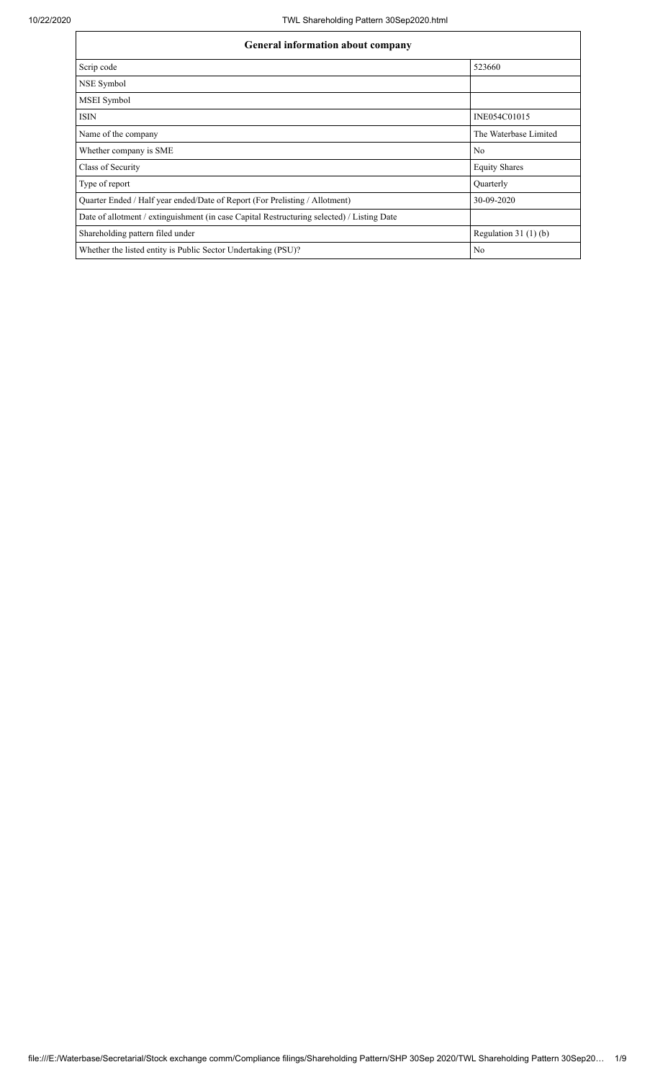$\overline{1}$ 

| <b>General information about company</b>                                                   |                        |  |  |  |  |  |  |
|--------------------------------------------------------------------------------------------|------------------------|--|--|--|--|--|--|
| Scrip code                                                                                 | 523660                 |  |  |  |  |  |  |
| NSE Symbol                                                                                 |                        |  |  |  |  |  |  |
| MSEI Symbol                                                                                |                        |  |  |  |  |  |  |
| <b>ISIN</b>                                                                                | INE054C01015           |  |  |  |  |  |  |
| Name of the company                                                                        | The Waterbase Limited  |  |  |  |  |  |  |
| Whether company is SME                                                                     | No                     |  |  |  |  |  |  |
| Class of Security                                                                          | <b>Equity Shares</b>   |  |  |  |  |  |  |
| Type of report                                                                             | Quarterly              |  |  |  |  |  |  |
| Quarter Ended / Half year ended/Date of Report (For Prelisting / Allotment)                | 30-09-2020             |  |  |  |  |  |  |
| Date of allotment / extinguishment (in case Capital Restructuring selected) / Listing Date |                        |  |  |  |  |  |  |
| Shareholding pattern filed under                                                           | Regulation 31 $(1)(b)$ |  |  |  |  |  |  |
| Whether the listed entity is Public Sector Undertaking (PSU)?                              | No                     |  |  |  |  |  |  |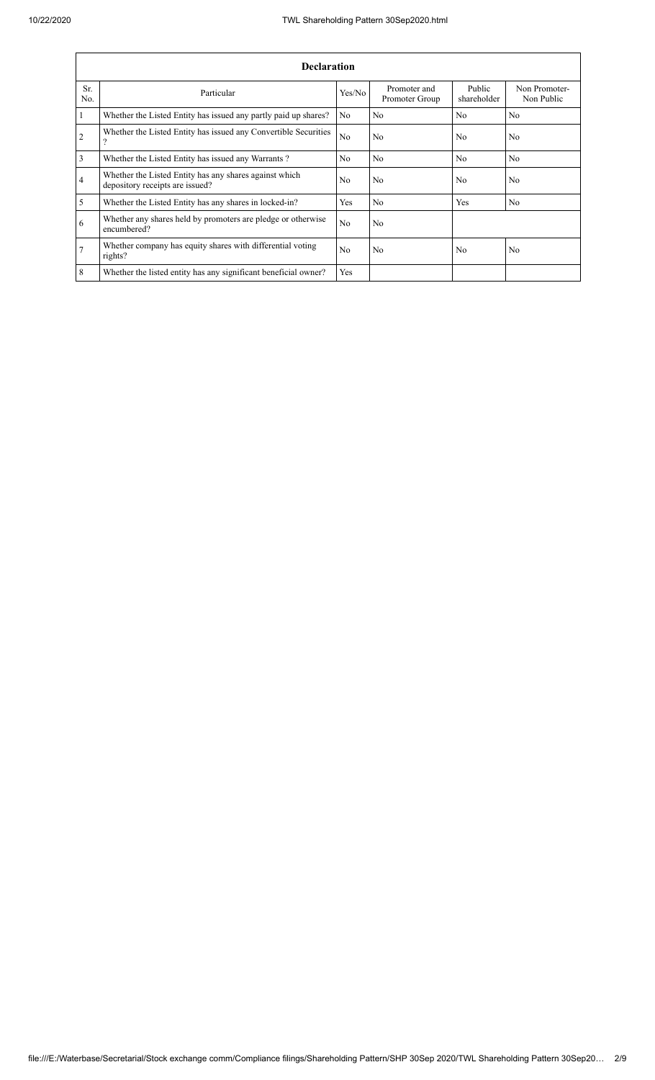| <b>Declaration</b> |                                                                                           |                |                                |                       |                             |  |  |  |
|--------------------|-------------------------------------------------------------------------------------------|----------------|--------------------------------|-----------------------|-----------------------------|--|--|--|
| Sr.<br>No.         | Particular                                                                                | Yes/No         | Promoter and<br>Promoter Group | Public<br>shareholder | Non Promoter-<br>Non Public |  |  |  |
|                    | Whether the Listed Entity has issued any partly paid up shares?                           | N <sub>o</sub> | N <sub>0</sub>                 | N <sub>0</sub>        | No                          |  |  |  |
| $\overline{2}$     | Whether the Listed Entity has issued any Convertible Securities<br>$\Omega$               | N <sub>o</sub> | N <sub>o</sub>                 | No                    | No                          |  |  |  |
| 3                  | Whether the Listed Entity has issued any Warrants?                                        | No             | N <sub>o</sub>                 | N <sub>o</sub>        | N <sub>o</sub>              |  |  |  |
| 4                  | Whether the Listed Entity has any shares against which<br>depository receipts are issued? | No             | No                             | No                    | No                          |  |  |  |
| 5                  | Whether the Listed Entity has any shares in locked-in?                                    | Yes            | N <sub>o</sub>                 | Yes                   | N <sub>o</sub>              |  |  |  |
| 6                  | Whether any shares held by promoters are pledge or otherwise<br>encumbered?               | N <sub>o</sub> | No                             |                       |                             |  |  |  |
| $\overline{7}$     | Whether company has equity shares with differential voting<br>rights?                     | No             | No                             | No                    | No                          |  |  |  |
| 8                  | Whether the listed entity has any significant beneficial owner?                           | Yes            |                                |                       |                             |  |  |  |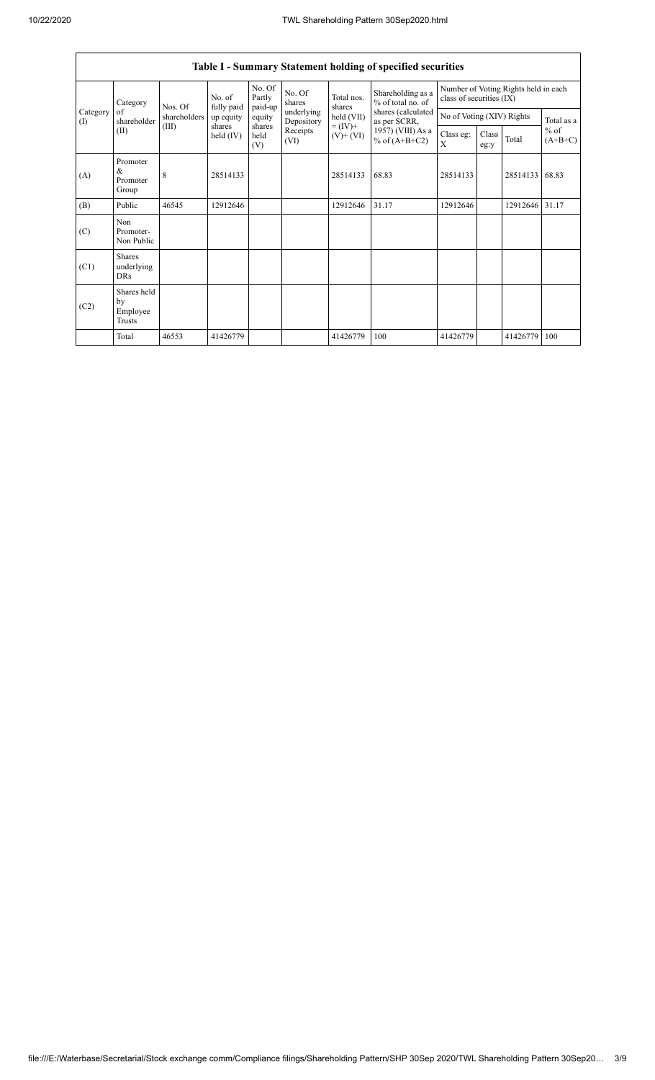$\mathsf{r}$ 

| Table I - Summary Statement holding of specified securities |                                           |              |                         |                       |                          |                                                                    |                                                                                                                      |                                                                  |               |                |                                   |
|-------------------------------------------------------------|-------------------------------------------|--------------|-------------------------|-----------------------|--------------------------|--------------------------------------------------------------------|----------------------------------------------------------------------------------------------------------------------|------------------------------------------------------------------|---------------|----------------|-----------------------------------|
|                                                             | Category                                  | Nos. Of      | No. of                  | No. Of<br>Partly      | No. Of<br>shares         | Total nos.<br>shares<br>held (VII)<br>$= (IV) +$<br>$(V)$ + $(VI)$ | Shareholding as a<br>% of total no. of<br>shares (calculated<br>as per SCRR,<br>1957) (VIII) As a<br>% of $(A+B+C2)$ | Number of Voting Rights held in each<br>class of securities (IX) |               |                |                                   |
| Category<br>(I)                                             | of<br>shareholder                         | shareholders | fully paid<br>up equity | paid-up<br>equity     | underlying<br>Depository |                                                                    |                                                                                                                      | No of Voting (XIV) Rights                                        |               |                | Total as a<br>$%$ of<br>$(A+B+C)$ |
|                                                             | (II)                                      | (III)        | shares<br>held $(IV)$   | shares<br>held<br>(V) | Receipts<br>(VI)         |                                                                    |                                                                                                                      | Class eg:<br>X                                                   | Class<br>eg:y | Total          |                                   |
| (A)                                                         | Promoter<br>$\&$<br>Promoter<br>Group     | 8            | 28514133                |                       |                          | 28514133                                                           | 68.83                                                                                                                | 28514133                                                         |               | 28514133       | 68.83                             |
| (B)                                                         | Public                                    | 46545        | 12912646                |                       |                          | 12912646                                                           | 31.17                                                                                                                | 12912646                                                         |               | 12912646 31.17 |                                   |
| (C)                                                         | Non<br>Promoter-<br>Non Public            |              |                         |                       |                          |                                                                    |                                                                                                                      |                                                                  |               |                |                                   |
| (C1)                                                        | <b>Shares</b><br>underlying<br><b>DRs</b> |              |                         |                       |                          |                                                                    |                                                                                                                      |                                                                  |               |                |                                   |
| (C2)                                                        | Shares held<br>by<br>Employee<br>Trusts   |              |                         |                       |                          |                                                                    |                                                                                                                      |                                                                  |               |                |                                   |
|                                                             | Total                                     | 46553        | 41426779                |                       |                          | 41426779                                                           | 100                                                                                                                  | 41426779                                                         |               | 41426779 100   |                                   |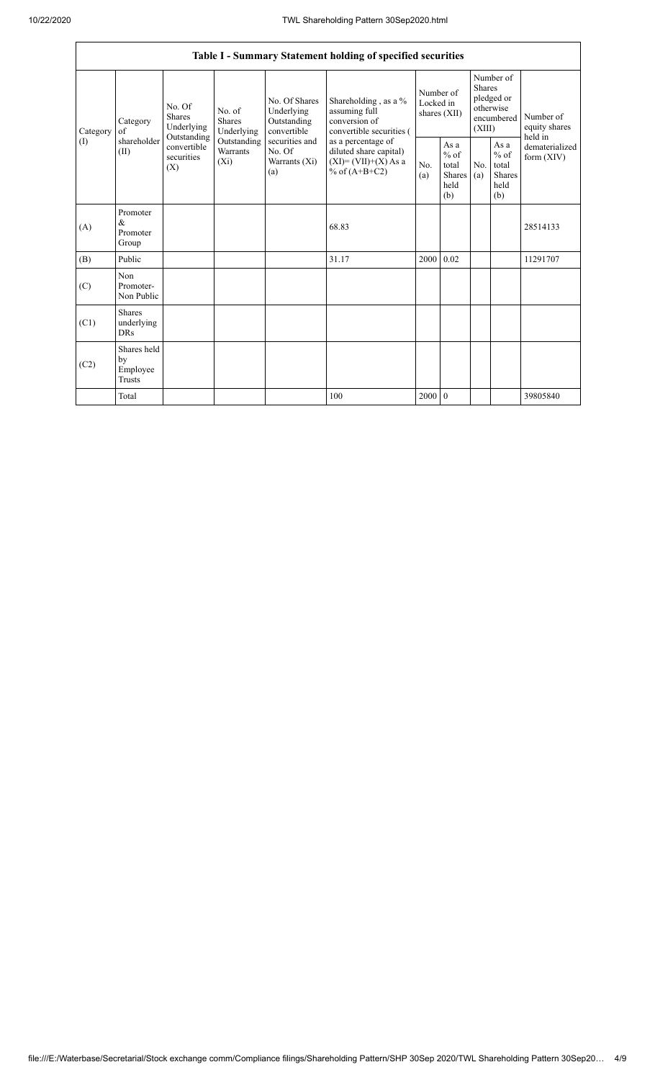|                 |                                                |                                                                                              |                                |                                                                                                                  | Table I - Summary Statement holding of specified securities                                                                                                                      |                                          |                                                          |                                                                               |                                                         |                                           |
|-----------------|------------------------------------------------|----------------------------------------------------------------------------------------------|--------------------------------|------------------------------------------------------------------------------------------------------------------|----------------------------------------------------------------------------------------------------------------------------------------------------------------------------------|------------------------------------------|----------------------------------------------------------|-------------------------------------------------------------------------------|---------------------------------------------------------|-------------------------------------------|
| Category<br>(I) | Category<br>of<br>shareholder<br>(II)          | No. Of<br>Shares<br>Underlying<br>Outstanding<br>convertible<br>securities<br>$(X_i)$<br>(X) | No. of<br>Shares<br>Underlying | No. Of Shares<br>Underlying<br>Outstanding<br>convertible<br>securities and<br>No. Of<br>Warrants $(X_i)$<br>(a) | Shareholding, as a %<br>assuming full<br>conversion of<br>convertible securities (<br>as a percentage of<br>diluted share capital)<br>$(XI) = (VII)+(X) As a$<br>% of $(A+B+C2)$ | Number of<br>Locked in<br>shares $(XII)$ |                                                          | Number of<br><b>Shares</b><br>pledged or<br>otherwise<br>encumbered<br>(XIII) |                                                         | Number of<br>equity shares                |
|                 |                                                |                                                                                              | Outstanding<br>Warrants        |                                                                                                                  |                                                                                                                                                                                  | N <sub>0</sub><br>(a)                    | As a<br>$\%$ of<br>total<br><b>Shares</b><br>held<br>(b) | N <sub>0</sub><br>(a)                                                         | As a<br>$%$ of<br>total<br><b>Shares</b><br>held<br>(b) | held in<br>dematerialized<br>form $(XIV)$ |
| (A)             | Promoter<br>&<br>Promoter<br>Group             |                                                                                              |                                |                                                                                                                  | 68.83                                                                                                                                                                            |                                          |                                                          |                                                                               |                                                         | 28514133                                  |
| (B)             | Public                                         |                                                                                              |                                |                                                                                                                  | 31.17                                                                                                                                                                            | 2000                                     | 0.02                                                     |                                                                               |                                                         | 11291707                                  |
| (C)             | Non<br>Promoter-<br>Non Public                 |                                                                                              |                                |                                                                                                                  |                                                                                                                                                                                  |                                          |                                                          |                                                                               |                                                         |                                           |
| (C1)            | <b>Shares</b><br>underlying<br><b>DRs</b>      |                                                                                              |                                |                                                                                                                  |                                                                                                                                                                                  |                                          |                                                          |                                                                               |                                                         |                                           |
| (C2)            | Shares held<br>by<br>Employee<br><b>Trusts</b> |                                                                                              |                                |                                                                                                                  |                                                                                                                                                                                  |                                          |                                                          |                                                                               |                                                         |                                           |
|                 | Total                                          |                                                                                              |                                |                                                                                                                  | 100                                                                                                                                                                              | 2000                                     | $\overline{0}$                                           |                                                                               |                                                         | 39805840                                  |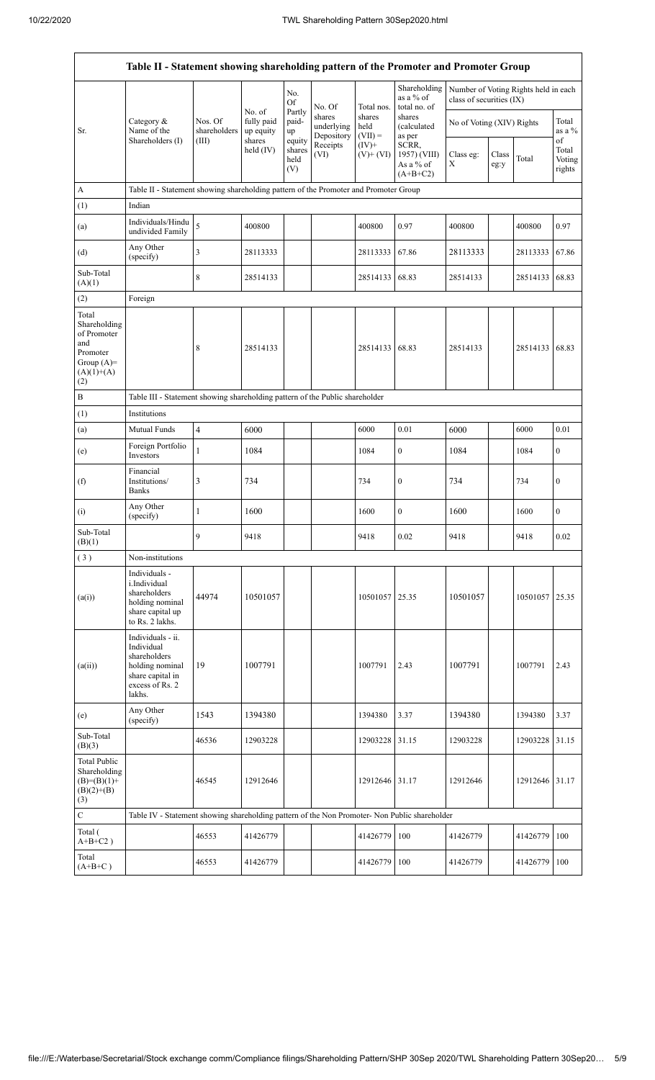| Table II - Statement showing shareholding pattern of the Promoter and Promoter Group           |                                                                                                                     |                                  |                                   |                                    |                                              |                                           |                                                                              |                                                                  |               |                |                           |
|------------------------------------------------------------------------------------------------|---------------------------------------------------------------------------------------------------------------------|----------------------------------|-----------------------------------|------------------------------------|----------------------------------------------|-------------------------------------------|------------------------------------------------------------------------------|------------------------------------------------------------------|---------------|----------------|---------------------------|
|                                                                                                |                                                                                                                     |                                  | No. of<br>fully paid<br>up equity | No.<br>Of<br>Partly<br>paid-<br>up | No. Of<br>shares<br>underlying<br>Depository | Total nos.<br>shares<br>held<br>$(VII) =$ | Shareholding<br>as a % of<br>total no. of<br>shares<br>(calculated<br>as per | Number of Voting Rights held in each<br>class of securities (IX) |               |                |                           |
| Sr.                                                                                            | Category &<br>Name of the<br>Shareholders (I)                                                                       | Nos. Of<br>shareholders<br>(III) |                                   |                                    |                                              |                                           |                                                                              | No of Voting (XIV) Rights                                        |               |                | Total<br>as a %<br>of     |
|                                                                                                |                                                                                                                     |                                  | shares<br>held (IV)               | equity<br>shares<br>held<br>(V)    | Receipts<br>(VI)                             | $(IV)+$<br>$(V)$ + $(VI)$                 | SCRR,<br>1957) (VIII)<br>As a % of<br>$(A+B+C2)$                             | Class eg:<br>X                                                   | Class<br>eg:y | Total          | Total<br>Voting<br>rights |
| A                                                                                              | Table II - Statement showing shareholding pattern of the Promoter and Promoter Group                                |                                  |                                   |                                    |                                              |                                           |                                                                              |                                                                  |               |                |                           |
| (1)                                                                                            | Indian                                                                                                              |                                  |                                   |                                    |                                              |                                           |                                                                              |                                                                  |               |                |                           |
| (a)                                                                                            | Individuals/Hindu<br>undivided Family                                                                               | 5                                | 400800                            |                                    |                                              | 400800                                    | 0.97                                                                         | 400800                                                           |               | 400800         | 0.97                      |
| (d)                                                                                            | Any Other<br>(specify)                                                                                              | 3                                | 28113333                          |                                    |                                              | 28113333                                  | 67.86                                                                        | 28113333                                                         |               | 28113333       | 67.86                     |
| Sub-Total<br>(A)(1)                                                                            |                                                                                                                     | 8                                | 28514133                          |                                    |                                              | 28514133                                  | 68.83                                                                        | 28514133                                                         |               | 28514133       | 68.83                     |
| (2)                                                                                            | Foreign                                                                                                             |                                  |                                   |                                    |                                              |                                           |                                                                              |                                                                  |               |                |                           |
| Total<br>Shareholding<br>of Promoter<br>and<br>Promoter<br>Group $(A)=$<br>$(A)(1)+(A)$<br>(2) |                                                                                                                     | 8                                | 28514133                          |                                    |                                              | 28514133                                  | 68.83                                                                        | 28514133                                                         |               | 28514133       | 68.83                     |
| B                                                                                              | Table III - Statement showing shareholding pattern of the Public shareholder                                        |                                  |                                   |                                    |                                              |                                           |                                                                              |                                                                  |               |                |                           |
| (1)                                                                                            | Institutions                                                                                                        |                                  |                                   |                                    |                                              |                                           |                                                                              |                                                                  |               |                |                           |
| (a)                                                                                            | Mutual Funds                                                                                                        | $\overline{\mathbf{4}}$          | 6000                              |                                    |                                              | 6000                                      | 0.01                                                                         | 6000                                                             |               | 6000           | 0.01                      |
| (e)                                                                                            | Foreign Portfolio<br>Investors                                                                                      | $\mathbf{1}$                     | 1084                              |                                    |                                              | 1084                                      | $\mathbf{0}$                                                                 | 1084                                                             |               | 1084           | $\overline{0}$            |
| (f)                                                                                            | Financial<br>Institutions/<br><b>Banks</b>                                                                          | 3                                | 734                               |                                    |                                              | 734                                       | $\boldsymbol{0}$                                                             | 734                                                              |               | 734            | 0                         |
| (i)                                                                                            | Any Other<br>(specify)                                                                                              | 1                                | 1600                              |                                    |                                              | 1600                                      | $\mathbf{0}$                                                                 | 1600                                                             |               | 1600           | $\overline{0}$            |
| Sub-Total<br>(B)(1)                                                                            |                                                                                                                     | 9                                | 9418                              |                                    |                                              | 9418                                      | $0.02\,$                                                                     | 9418                                                             |               | 9418           | 0.02                      |
| (3)                                                                                            | Non-institutions                                                                                                    |                                  |                                   |                                    |                                              |                                           |                                                                              |                                                                  |               |                |                           |
| (a(i))                                                                                         | Individuals -<br>i.Individual<br>shareholders<br>holding nominal<br>share capital up<br>to Rs. 2 lakhs.             | 44974                            | 10501057                          |                                    |                                              | 10501057                                  | 25.35                                                                        | 10501057                                                         |               | 10501057       | 25.35                     |
| (a(ii))                                                                                        | Individuals - ii.<br>Individual<br>shareholders<br>holding nominal<br>share capital in<br>excess of Rs. 2<br>lakhs. | 19                               | 1007791                           |                                    |                                              | 1007791                                   | 2.43                                                                         | 1007791                                                          |               | 1007791        | 2.43                      |
| (e)                                                                                            | Any Other<br>(specify)                                                                                              | 1543                             | 1394380                           |                                    |                                              | 1394380                                   | 3.37                                                                         | 1394380                                                          |               | 1394380        | 3.37                      |
| Sub-Total<br>(B)(3)                                                                            |                                                                                                                     | 46536                            | 12903228                          |                                    |                                              | 12903228                                  | 31.15                                                                        | 12903228                                                         |               | 12903228       | 31.15                     |
| <b>Total Public</b><br>Shareholding<br>$(B)=(B)(1)+$<br>$(B)(2)+(B)$<br>(3)                    |                                                                                                                     | 46545                            | 12912646                          |                                    |                                              | 12912646                                  | 31.17                                                                        | 12912646                                                         |               | 12912646 31.17 |                           |
| $\mathbf C$                                                                                    | Table IV - Statement showing shareholding pattern of the Non Promoter- Non Public shareholder                       |                                  |                                   |                                    |                                              |                                           |                                                                              |                                                                  |               |                |                           |
| Total (<br>$A+B+C2$ )                                                                          |                                                                                                                     | 46553                            | 41426779                          |                                    |                                              | 41426779                                  | 100                                                                          | 41426779                                                         |               | 41426779       | 100                       |
| Total<br>$(A+B+C)$                                                                             |                                                                                                                     | 46553                            | 41426779                          |                                    |                                              | 41426779                                  | 100                                                                          | 41426779                                                         |               | 41426779       | 100                       |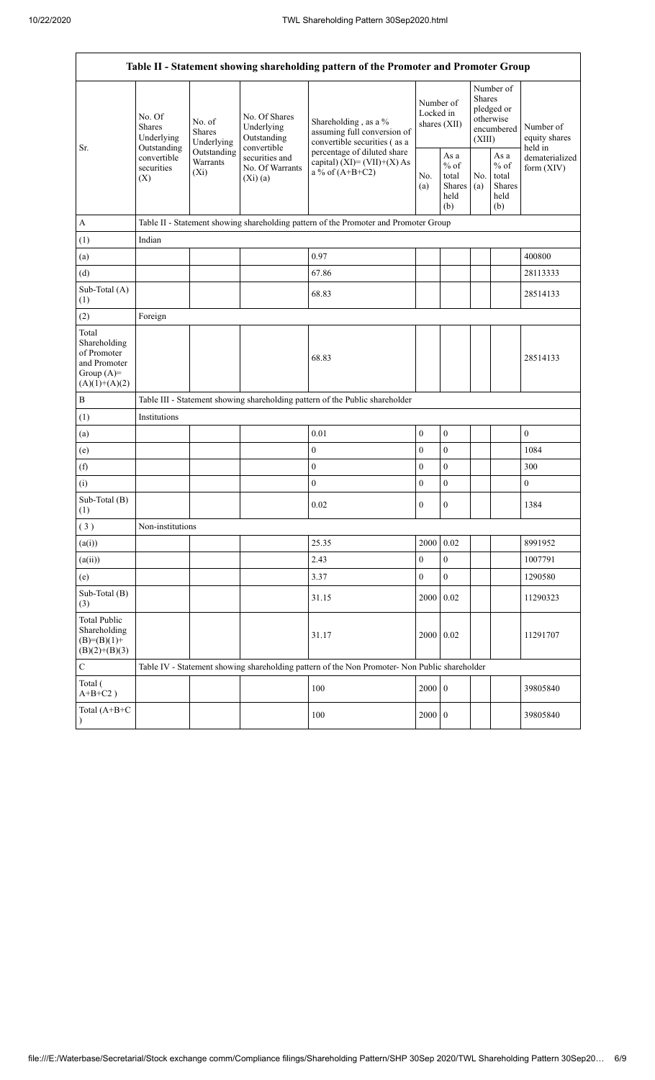| Table II - Statement showing shareholding pattern of the Promoter and Promoter Group    |                                                 |                                    |                                                             |                                                                                                                                                                           |                                          |                                                  |                                                                        |                                                         |                                       |
|-----------------------------------------------------------------------------------------|-------------------------------------------------|------------------------------------|-------------------------------------------------------------|---------------------------------------------------------------------------------------------------------------------------------------------------------------------------|------------------------------------------|--------------------------------------------------|------------------------------------------------------------------------|---------------------------------------------------------|---------------------------------------|
|                                                                                         | No. Of<br><b>Shares</b><br>Underlying           | No. of<br>Shares<br>Underlying     | No. Of Shares<br>Underlying<br>Outstanding                  | Shareholding, as a %<br>assuming full conversion of<br>convertible securities (as a<br>percentage of diluted share<br>capital) $(XI) = (VII)+(X) As$<br>a % of $(A+B+C2)$ | Number of<br>Locked in<br>shares $(XII)$ |                                                  | Number of<br>Shares<br>pledged or<br>otherwise<br>encumbered<br>(XIII) |                                                         | Number of<br>equity shares<br>held in |
| Sr.                                                                                     | Outstanding<br>convertible<br>securities<br>(X) | Outstanding<br>Warrants<br>$(X_i)$ | convertible<br>securities and<br>No. Of Warrants<br>(Xi)(a) |                                                                                                                                                                           | No.<br>(a)                               | As a<br>$%$ of<br>total<br>Shares<br>held<br>(b) | No.<br>(a)                                                             | As a<br>$%$ of<br>total<br><b>Shares</b><br>held<br>(b) | dematerialized<br>form (XIV)          |
| А                                                                                       |                                                 |                                    |                                                             | Table II - Statement showing shareholding pattern of the Promoter and Promoter Group                                                                                      |                                          |                                                  |                                                                        |                                                         |                                       |
| (1)                                                                                     | Indian                                          |                                    |                                                             |                                                                                                                                                                           |                                          |                                                  |                                                                        |                                                         |                                       |
| (a)                                                                                     |                                                 |                                    |                                                             | 0.97                                                                                                                                                                      |                                          |                                                  |                                                                        |                                                         | 400800                                |
| (d)                                                                                     |                                                 |                                    |                                                             | 67.86                                                                                                                                                                     |                                          |                                                  |                                                                        |                                                         | 28113333                              |
| Sub-Total (A)<br>(1)                                                                    |                                                 |                                    |                                                             | 68.83                                                                                                                                                                     |                                          |                                                  |                                                                        |                                                         | 28514133                              |
| (2)                                                                                     | Foreign                                         |                                    |                                                             |                                                                                                                                                                           |                                          |                                                  |                                                                        |                                                         |                                       |
| Total<br>Shareholding<br>of Promoter<br>and Promoter<br>Group $(A)=$<br>$(A)(1)+(A)(2)$ |                                                 |                                    |                                                             | 68.83                                                                                                                                                                     |                                          |                                                  |                                                                        |                                                         | 28514133                              |
| $\mathbf B$                                                                             |                                                 |                                    |                                                             | Table III - Statement showing shareholding pattern of the Public shareholder                                                                                              |                                          |                                                  |                                                                        |                                                         |                                       |
| (1)                                                                                     | Institutions                                    |                                    |                                                             |                                                                                                                                                                           |                                          |                                                  |                                                                        |                                                         |                                       |
| (a)                                                                                     |                                                 |                                    |                                                             | 0.01                                                                                                                                                                      | $\mathbf{0}$                             | $\boldsymbol{0}$                                 |                                                                        |                                                         | $\boldsymbol{0}$                      |
| (e)                                                                                     |                                                 |                                    |                                                             | $\boldsymbol{0}$                                                                                                                                                          | $\boldsymbol{0}$                         | $\boldsymbol{0}$                                 |                                                                        |                                                         | 1084                                  |
| (f)                                                                                     |                                                 |                                    |                                                             | $\overline{0}$                                                                                                                                                            | $\mathbf{0}$                             | $\mathbf{0}$                                     |                                                                        |                                                         | 300                                   |
| (i)                                                                                     |                                                 |                                    |                                                             | $\boldsymbol{0}$                                                                                                                                                          | $\mathbf{0}$                             | $\boldsymbol{0}$                                 |                                                                        |                                                         | $\boldsymbol{0}$                      |
| Sub-Total (B)<br>(1)                                                                    |                                                 |                                    |                                                             | 0.02                                                                                                                                                                      | $\boldsymbol{0}$                         | $\boldsymbol{0}$                                 |                                                                        |                                                         | 1384                                  |
| $(\sqrt{3})$                                                                            | Non-institutions                                |                                    |                                                             |                                                                                                                                                                           |                                          |                                                  |                                                                        |                                                         |                                       |
| (a(i))                                                                                  |                                                 |                                    |                                                             | 25.35                                                                                                                                                                     | 2000                                     | 0.02                                             |                                                                        |                                                         | 8991952                               |
| (a(ii))                                                                                 |                                                 |                                    |                                                             | 2.43                                                                                                                                                                      | $\boldsymbol{0}$                         | $\boldsymbol{0}$                                 |                                                                        |                                                         | 1007791                               |
| (e)                                                                                     |                                                 |                                    |                                                             | 3.37                                                                                                                                                                      | $\mathbf{0}$                             | $\boldsymbol{0}$                                 |                                                                        |                                                         | 1290580                               |
| Sub-Total (B)<br>(3)                                                                    |                                                 |                                    |                                                             | 31.15                                                                                                                                                                     | 2000                                     | 0.02                                             |                                                                        |                                                         | 11290323                              |
| <b>Total Public</b><br>Shareholding<br>$(B)= (B)(1) +$<br>$(B)(2)+(B)(3)$               |                                                 |                                    |                                                             | 31.17                                                                                                                                                                     | 2000 0.02                                |                                                  |                                                                        |                                                         | 11291707                              |
| С                                                                                       |                                                 |                                    |                                                             | Table IV - Statement showing shareholding pattern of the Non Promoter- Non Public shareholder                                                                             |                                          |                                                  |                                                                        |                                                         |                                       |
| Total (<br>$A+B+C2$ )                                                                   |                                                 |                                    |                                                             | 100                                                                                                                                                                       | 2000 0                                   |                                                  |                                                                        |                                                         | 39805840                              |
| Total (A+B+C                                                                            |                                                 |                                    |                                                             | 100                                                                                                                                                                       | 2000 0                                   |                                                  |                                                                        |                                                         | 39805840                              |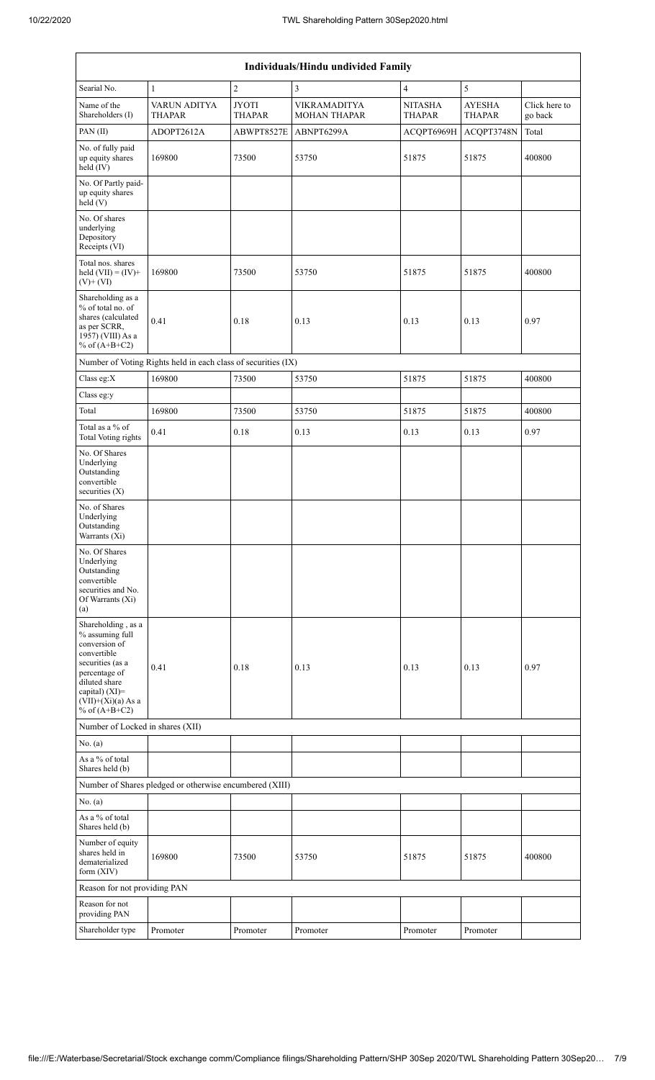| <b>Individuals/Hindu undivided Family</b>                                                                                                                                                   |                                                               |                               |                                     |                          |                                |                          |  |  |
|---------------------------------------------------------------------------------------------------------------------------------------------------------------------------------------------|---------------------------------------------------------------|-------------------------------|-------------------------------------|--------------------------|--------------------------------|--------------------------|--|--|
| Searial No.                                                                                                                                                                                 | $\mathbf{1}$                                                  | $\overline{2}$                | 3                                   | $\overline{\mathbf{4}}$  | 5                              |                          |  |  |
| Name of the<br>Shareholders (I)                                                                                                                                                             | VARUN ADITYA<br>THAPAR                                        | <b>JYOTI</b><br><b>THAPAR</b> | VIKRAMADITYA<br><b>MOHAN THAPAR</b> | <b>NITASHA</b><br>THAPAR | <b>AYESHA</b><br><b>THAPAR</b> | Click here to<br>go back |  |  |
| PAN (II)                                                                                                                                                                                    | ADOPT2612A                                                    | ABWPT8527E                    | ABNPT6299A                          | ACOPT6969H               | ACQPT3748N                     | Total                    |  |  |
| No. of fully paid<br>up equity shares<br>held $(IV)$                                                                                                                                        | 169800                                                        | 73500                         | 53750                               | 51875                    | 51875                          | 400800                   |  |  |
| No. Of Partly paid-<br>up equity shares<br>held(V)                                                                                                                                          |                                                               |                               |                                     |                          |                                |                          |  |  |
| No. Of shares<br>underlying<br>Depository<br>Receipts (VI)                                                                                                                                  |                                                               |                               |                                     |                          |                                |                          |  |  |
| Total nos. shares<br>held $(VII) = (IV) +$<br>$(V)$ + $(VI)$                                                                                                                                | 169800                                                        | 73500                         | 53750                               | 51875                    | 51875                          | 400800                   |  |  |
| Shareholding as a<br>% of total no. of<br>shares (calculated<br>as per SCRR,<br>1957) (VIII) As a<br>% of $(A+B+C2)$                                                                        | 0.41                                                          | 0.18                          | 0.13                                | 0.13                     | 0.13                           | 0.97                     |  |  |
|                                                                                                                                                                                             | Number of Voting Rights held in each class of securities (IX) |                               |                                     |                          |                                |                          |  |  |
| Class eg: $X$                                                                                                                                                                               | 169800                                                        | 73500                         | 53750                               | 51875                    | 51875                          | 400800                   |  |  |
| Class eg:y                                                                                                                                                                                  |                                                               |                               |                                     |                          |                                |                          |  |  |
| Total                                                                                                                                                                                       | 169800                                                        | 73500                         | 53750                               | 51875                    | 51875                          | 400800                   |  |  |
| Total as a % of<br>Total Voting rights                                                                                                                                                      | 0.41                                                          | 0.18                          | 0.13                                | 0.13                     | 0.13                           | 0.97                     |  |  |
| No. Of Shares<br>Underlying<br>Outstanding<br>convertible<br>securities $(X)$                                                                                                               |                                                               |                               |                                     |                          |                                |                          |  |  |
| No. of Shares<br>Underlying<br>Outstanding<br>Warrants (Xi)                                                                                                                                 |                                                               |                               |                                     |                          |                                |                          |  |  |
| No. Of Shares<br>Underlying<br>Outstanding<br>convertible<br>securities and No.<br>Of Warrants (Xi)<br>(a)                                                                                  |                                                               |                               |                                     |                          |                                |                          |  |  |
| Shareholding, as a<br>% assuming full<br>conversion of<br>convertible<br>securities (as a<br>percentage of<br>diluted share<br>capital) $(XI)$ =<br>$(VII)+(Xi)(a)$ As a<br>% of $(A+B+C2)$ | 0.41                                                          | 0.18                          | 0.13                                | 0.13                     | 0.13                           | 0.97                     |  |  |
| Number of Locked in shares (XII)                                                                                                                                                            |                                                               |                               |                                     |                          |                                |                          |  |  |
| No. (a)                                                                                                                                                                                     |                                                               |                               |                                     |                          |                                |                          |  |  |
| As a % of total<br>Shares held (b)                                                                                                                                                          |                                                               |                               |                                     |                          |                                |                          |  |  |
|                                                                                                                                                                                             | Number of Shares pledged or otherwise encumbered (XIII)       |                               |                                     |                          |                                |                          |  |  |
| No. $(a)$                                                                                                                                                                                   |                                                               |                               |                                     |                          |                                |                          |  |  |
| As a % of total<br>Shares held (b)                                                                                                                                                          |                                                               |                               |                                     |                          |                                |                          |  |  |
| Number of equity<br>shares held in<br>dematerialized<br>form $(XIV)$                                                                                                                        | 169800                                                        | 73500                         | 53750                               | 51875                    | 51875                          | 400800                   |  |  |
| Reason for not providing PAN                                                                                                                                                                |                                                               |                               |                                     |                          |                                |                          |  |  |
| Reason for not<br>providing PAN                                                                                                                                                             |                                                               |                               |                                     |                          |                                |                          |  |  |
| Shareholder type                                                                                                                                                                            | Promoter                                                      | Promoter                      | Promoter                            | Promoter                 | Promoter                       |                          |  |  |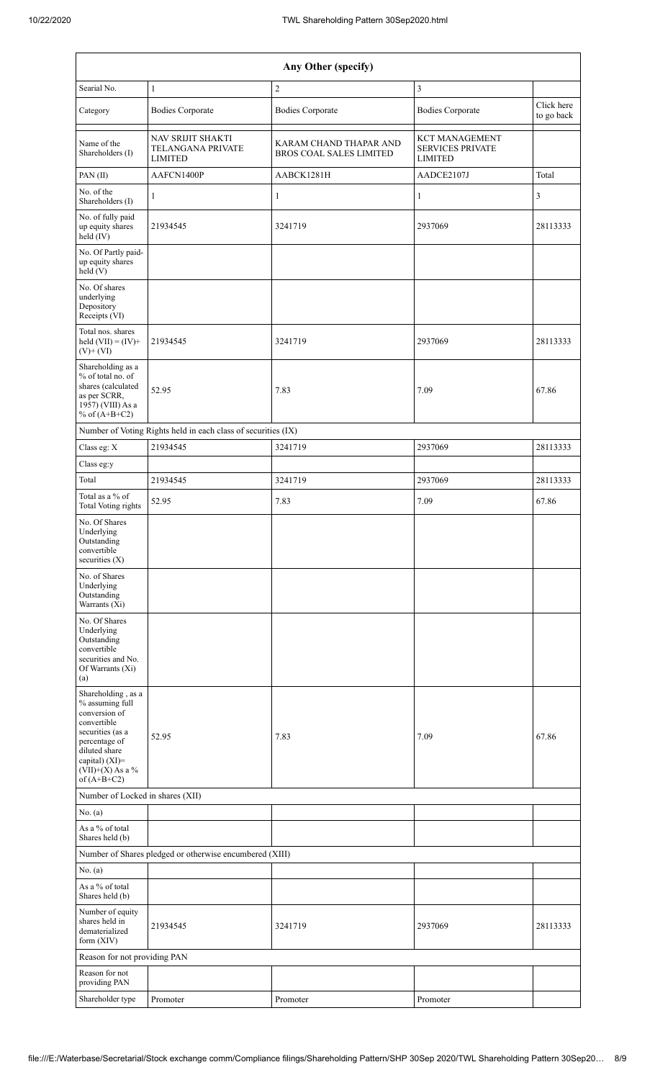| Any Other (specify)                                                                                                                                                                  |                                                               |                                                   |                                                                    |                          |  |  |  |
|--------------------------------------------------------------------------------------------------------------------------------------------------------------------------------------|---------------------------------------------------------------|---------------------------------------------------|--------------------------------------------------------------------|--------------------------|--|--|--|
| Searial No.                                                                                                                                                                          | $\mathbf{1}$                                                  | $\overline{2}$                                    | $\overline{3}$                                                     |                          |  |  |  |
| Category                                                                                                                                                                             | <b>Bodies Corporate</b>                                       | <b>Bodies Corporate</b>                           | <b>Bodies Corporate</b>                                            | Click here<br>to go back |  |  |  |
| Name of the<br>Shareholders (I)                                                                                                                                                      | NAV SRIJIT SHAKTI<br>TELANGANA PRIVATE<br><b>LIMITED</b>      | KARAM CHAND THAPAR AND<br>BROS COAL SALES LIMITED | <b>KCT MANAGEMENT</b><br><b>SERVICES PRIVATE</b><br><b>LIMITED</b> |                          |  |  |  |
| PAN (II)                                                                                                                                                                             | AAFCN1400P                                                    | AABCK1281H                                        | AADCE2107J                                                         | Total                    |  |  |  |
| No. of the<br>Shareholders (I)                                                                                                                                                       | 1                                                             | $\mathbf{1}$                                      | 1                                                                  | 3                        |  |  |  |
| No. of fully paid<br>up equity shares<br>held (IV)                                                                                                                                   | 21934545                                                      | 3241719                                           | 2937069                                                            | 28113333                 |  |  |  |
| No. Of Partly paid-<br>up equity shares<br>held(V)                                                                                                                                   |                                                               |                                                   |                                                                    |                          |  |  |  |
| No. Of shares<br>underlying<br>Depository<br>Receipts (VI)                                                                                                                           |                                                               |                                                   |                                                                    |                          |  |  |  |
| Total nos. shares<br>held $(VII) = (IV) +$<br>$(V)$ + $(VI)$                                                                                                                         | 21934545                                                      | 3241719                                           | 2937069                                                            | 28113333                 |  |  |  |
| Shareholding as a<br>% of total no. of<br>shares (calculated<br>as per SCRR,<br>1957) (VIII) As a<br>% of $(A+B+C2)$                                                                 | 52.95                                                         | 7.83                                              | 7.09                                                               | 67.86                    |  |  |  |
|                                                                                                                                                                                      | Number of Voting Rights held in each class of securities (IX) |                                                   |                                                                    |                          |  |  |  |
| Class eg: X                                                                                                                                                                          | 21934545                                                      | 3241719                                           | 2937069                                                            | 28113333                 |  |  |  |
| Class eg:y                                                                                                                                                                           |                                                               |                                                   |                                                                    |                          |  |  |  |
| Total                                                                                                                                                                                | 21934545                                                      | 3241719                                           | 2937069                                                            | 28113333                 |  |  |  |
| Total as a % of<br><b>Total Voting rights</b>                                                                                                                                        | 52.95                                                         | 7.83                                              | 7.09                                                               | 67.86                    |  |  |  |
| No. Of Shares<br>Underlying<br>Outstanding<br>convertible<br>securities $(X)$                                                                                                        |                                                               |                                                   |                                                                    |                          |  |  |  |
| No. of Shares<br>Underlying<br>Outstanding<br>Warrants (Xi)                                                                                                                          |                                                               |                                                   |                                                                    |                          |  |  |  |
| No. Of Shares<br>Underlying<br>Outstanding<br>convertible<br>securities and No.<br>Of Warrants (Xi)<br>(a)                                                                           |                                                               |                                                   |                                                                    |                          |  |  |  |
| Shareholding, as a<br>% assuming full<br>conversion of<br>convertible<br>securities (as a<br>percentage of<br>diluted share<br>capital) (XI)=<br>$(VII)+(X)$ As a %<br>of $(A+B+C2)$ | 52.95                                                         | 7.83                                              | 7.09                                                               | 67.86                    |  |  |  |
| Number of Locked in shares (XII)                                                                                                                                                     |                                                               |                                                   |                                                                    |                          |  |  |  |
| No. (a)<br>As a % of total                                                                                                                                                           |                                                               |                                                   |                                                                    |                          |  |  |  |
| Shares held (b)                                                                                                                                                                      |                                                               |                                                   |                                                                    |                          |  |  |  |
|                                                                                                                                                                                      | Number of Shares pledged or otherwise encumbered (XIII)       |                                                   |                                                                    |                          |  |  |  |
| No. (a)                                                                                                                                                                              |                                                               |                                                   |                                                                    |                          |  |  |  |
| As a % of total<br>Shares held (b)                                                                                                                                                   |                                                               |                                                   |                                                                    |                          |  |  |  |
| Number of equity<br>shares held in<br>dematerialized<br>form (XIV)                                                                                                                   | 21934545                                                      | 3241719                                           | 2937069                                                            | 28113333                 |  |  |  |
| Reason for not providing PAN                                                                                                                                                         |                                                               |                                                   |                                                                    |                          |  |  |  |
| Reason for not<br>providing PAN                                                                                                                                                      |                                                               |                                                   |                                                                    |                          |  |  |  |
| Shareholder type                                                                                                                                                                     | Promoter                                                      | Promoter                                          | Promoter                                                           |                          |  |  |  |